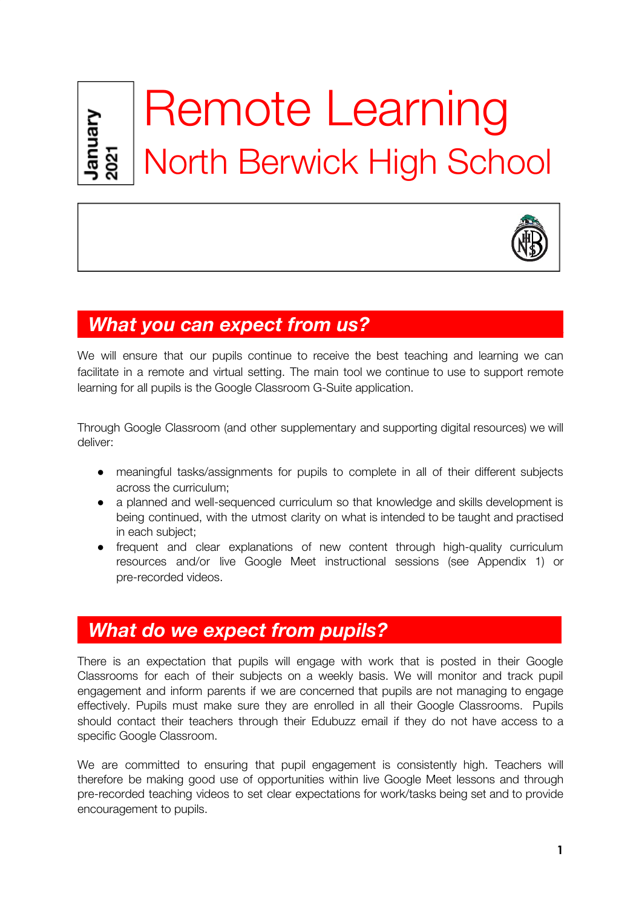

# Remote Learning North Berwick High School



# *What you can expect from us?*

We will ensure that our pupils continue to receive the best teaching and learning we can facilitate in a remote and virtual setting. The main tool we continue to use to support remote learning for all pupils is the Google Classroom G-Suite application.

Through Google Classroom (and other supplementary and supporting digital resources) we will deliver:

- meaningful tasks/assignments for pupils to complete in all of their different subjects across the curriculum;
- a planned and well-sequenced curriculum so that knowledge and skills development is being continued, with the utmost clarity on what is intended to be taught and practised in each subject;
- frequent and clear explanations of new content through high-quality curriculum resources and/or live Google Meet instructional sessions (see Appendix 1) or pre-recorded videos.

# *What do we expect from pupils?*

There is an expectation that pupils will engage with work that is posted in their Google Classrooms for each of their subjects on a weekly basis. We will monitor and track pupil engagement and inform parents if we are concerned that pupils are not managing to engage effectively. Pupils must make sure they are enrolled in all their Google Classrooms. Pupils should contact their teachers through their Edubuzz email if they do not have access to a specific Google Classroom.

We are committed to ensuring that pupil engagement is consistently high. Teachers will therefore be making good use of opportunities within live Google Meet lessons and through pre-recorded teaching videos to set clear expectations for work/tasks being set and to provide encouragement to pupils.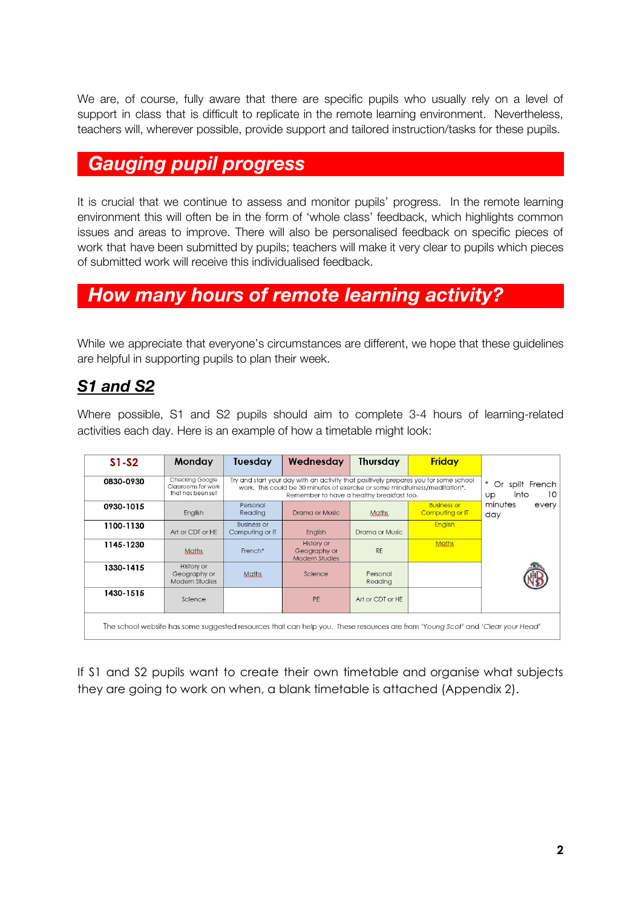We are, of course, fully aware that there are specific pupils who usually rely on a level of support in class that is difficult to replicate in the remote learning environment. Nevertheless, teachers will, wherever possible, provide support and tailored instruction/tasks for these pupils.

# *Gauging pupil progress\_\_\_\_\_\_\_\_\_\_\_\_\_\_\_\_\_ \_\_\_\_\_\_\_\_*

It is crucial that we continue to assess and monitor pupils' progress. In the remote learning environment this will often be in the form of 'whole class' feedback, which highlights common issues and areas to improve. There will also be personalised feedback on specific pieces of work that have been submitted by pupils; teachers will make it very clear to pupils which pieces of submitted work will receive this individualised feedback.

# *How many hours of remote learning activity?\_\_ \_\_*

While we appreciate that everyone's circumstances are different, we hope that these guidelines are helpful in supporting pupils to plan their week.

# *S1 and S2*

Where possible, S1 and S2 pupils should aim to complete 3-4 hours of learning-related activities each day. Here is an example of how a timetable might look:

| $S1-S2$                                                                                                                        | Monday                                                      | <b>Tuesday</b>                                                                                                                                                                                                   | Wednesday                                                  | <b>Thursday</b>     | <b>Friday</b>                         |                                                            |
|--------------------------------------------------------------------------------------------------------------------------------|-------------------------------------------------------------|------------------------------------------------------------------------------------------------------------------------------------------------------------------------------------------------------------------|------------------------------------------------------------|---------------------|---------------------------------------|------------------------------------------------------------|
| 0830-0930                                                                                                                      | Checking Google<br>Classrooms for work<br>that has been set | Try and start your day with an activity that positively prepares you for some school<br>work. This could be 30 minutes of exercise or some mindfulness/meditation*.<br>Remember to have a healthy breakfast too. |                                                            |                     |                                       | $\ast$<br>Or split French<br>10 <sup>°</sup><br>into<br>Up |
| 0930-1015                                                                                                                      | English                                                     | Personal<br>Readina                                                                                                                                                                                              | Drama or Music                                             | <b>Maths</b>        | <b>Business or</b><br>Computing or IT | minutes<br>every<br>day                                    |
| 1100-1130                                                                                                                      | Art or CDT or HE                                            | <b>Business or</b><br>Computing or IT                                                                                                                                                                            | English                                                    | Drama or Music      | <b>English</b>                        |                                                            |
| 1145-1230                                                                                                                      | Maths.                                                      | French*                                                                                                                                                                                                          | <b>History or</b><br>Geography or<br><b>Modern Studies</b> | <b>RF</b>           | <b>Maths</b>                          |                                                            |
| 1330-1415                                                                                                                      | History or<br>Geography or<br>Modern Studies                | Maths.                                                                                                                                                                                                           | Science                                                    | Personal<br>Reading |                                       |                                                            |
| 1430-1515                                                                                                                      | Science                                                     |                                                                                                                                                                                                                  | PF                                                         | Art or CDT or HE    |                                       |                                                            |
| The school website has some suggested resources that can help you. These resources are from 'Young Scot' and 'Clear your Head' |                                                             |                                                                                                                                                                                                                  |                                                            |                     |                                       |                                                            |

If S1 and S2 pupils want to create their own timetable and organise what subjects they are going to work on when, a blank timetable is attached (Appendix 2).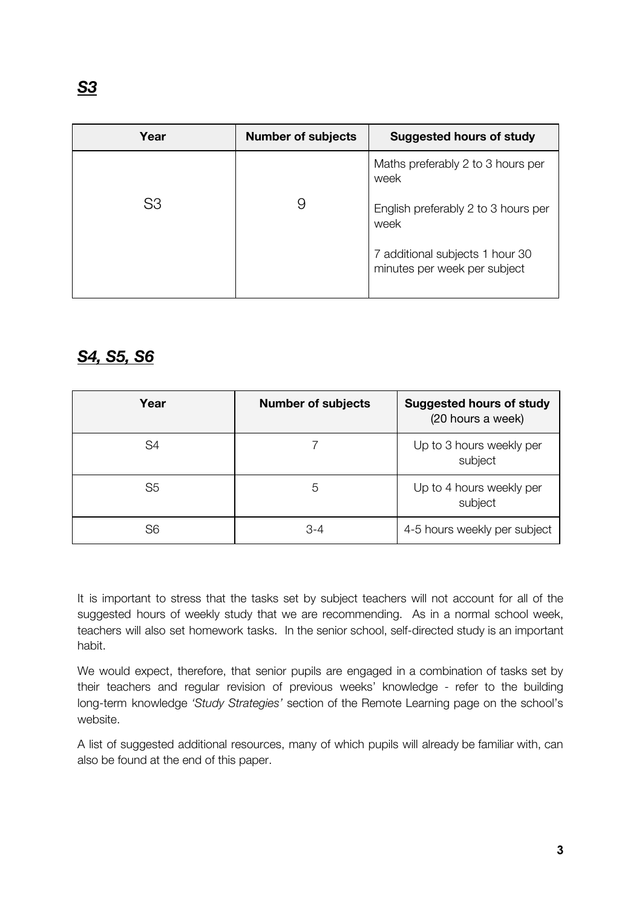| Year | <b>Number of subjects</b> | <b>Suggested hours of study</b>                                 |
|------|---------------------------|-----------------------------------------------------------------|
|      |                           | Maths preferably 2 to 3 hours per<br>week                       |
| S3   |                           | English preferably 2 to 3 hours per<br>week                     |
|      |                           | 7 additional subjects 1 hour 30<br>minutes per week per subject |

## *S4, S5, S6*

| Year           | <b>Number of subjects</b> | <b>Suggested hours of study</b><br>(20 hours a week) |
|----------------|---------------------------|------------------------------------------------------|
| S4             |                           | Up to 3 hours weekly per<br>subject                  |
| S <sub>5</sub> | 5                         | Up to 4 hours weekly per<br>subject                  |
| S6             | $3-4$                     | 4-5 hours weekly per subject                         |

It is important to stress that the tasks set by subject teachers will not account for all of the suggested hours of weekly study that we are recommending. As in a normal school week, teachers will also set homework tasks. In the senior school, self-directed study is an important habit.

We would expect, therefore, that senior pupils are engaged in a combination of tasks set by their teachers and regular revision of previous weeks' knowledge - refer to the building long-term knowledge *'Study Strategies'* section of the Remote Learning page on the school's website.

A list of suggested additional resources, many of which pupils will already be familiar with, can also be found at the end of this paper.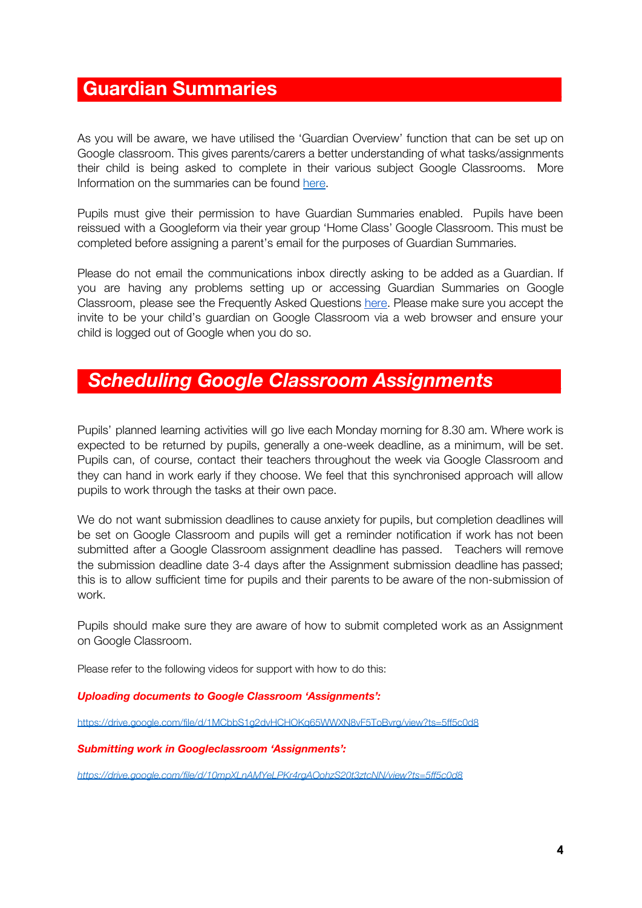# **Guardian Summaries\_***\_\_\_\_\_\_\_\_\_\_\_ \_\_\_\_\_\_\_\_ \_\_\_\_\_\_*

As you will be aware, we have utilised the 'Guardian Overview' function that can be set up on Google classroom. This gives parents/carers a better understanding of what tasks/assignments their child is being asked to complete in their various subject Google Classrooms. More Information on the summaries can be foun[d](https://support.google.com/edu/classroom/answer/6388136?hl=en&ref_topic=7175351) [here.](https://support.google.com/edu/classroom/answer/6388136?hl=en&ref_topic=7175351)

Pupils must give their permission to have Guardian Summaries enabled. Pupils have been reissued with a Googleform via their year group 'Home Class' Google Classroom. This must be completed before assigning a parent's email for the purposes of Guardian Summaries.

Please do not email the communications inbox directly asking to be added as a Guardian. If you are having any problems setting up or accessing Guardian Summaries on Google Classroom, please see the Frequently Asked Questions [here.](https://support.google.com/edu/classroom/answer/7126518?hl=en) Please make sure you accept the invite to be your child's guardian on Google Classroom via a web browser and ensure your child is logged out of Google when you do so.

# *Scheduling Google Classroom Assignments \_ \_*

Pupils' planned learning activities will go live each Monday morning for 8.30 am. Where work is expected to be returned by pupils, generally a one-week deadline, as a minimum, will be set. Pupils can, of course, contact their teachers throughout the week via Google Classroom and they can hand in work early if they choose. We feel that this synchronised approach will allow pupils to work through the tasks at their own pace.

We do not want submission deadlines to cause anxiety for pupils, but completion deadlines will be set on Google Classroom and pupils will get a reminder notification if work has not been submitted after a Google Classroom assignment deadline has passed. Teachers will remove the submission deadline date 3-4 days after the Assignment submission deadline has passed; this is to allow sufficient time for pupils and their parents to be aware of the non-submission of work.

Pupils should make sure they are aware of how to submit completed work as an Assignment on Google Classroom.

Please refer to the following videos for support with how to do this:

### *Uploading documents to Google Classroom 'Assignments':*

https://drive.google.com/file/d/1MCbbS1g2dvHCHOKg65WWXN8vF5ToBvrg/view?ts=5ff5c0d8

### *Submitting work in Googleclassroom 'Assignments':*

*<https://drive.google.com/file/d/10mpXLnAMYeLPKr4rgAOohzS20t3ztcNN/view?ts=5ff5c0d8>*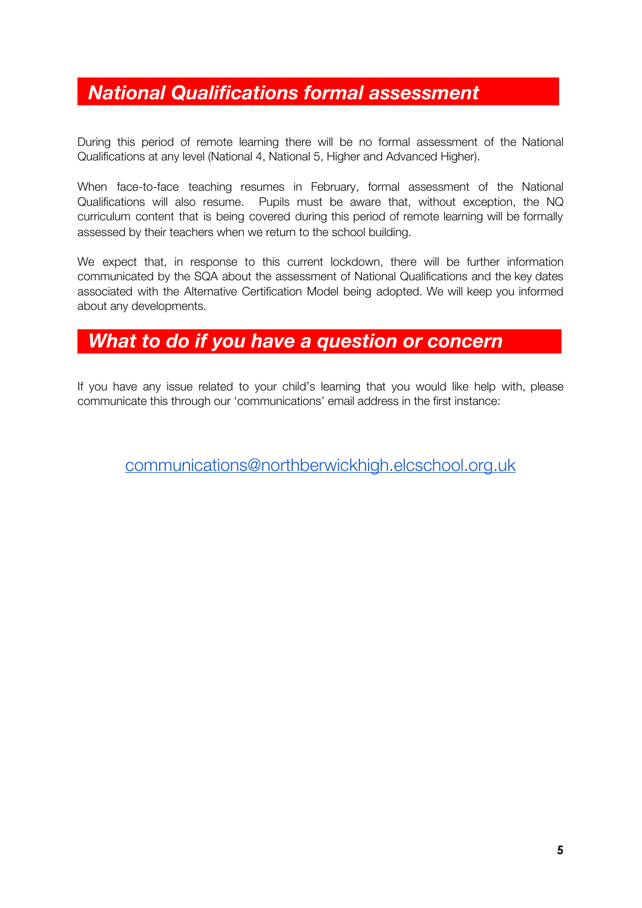# *National Qualifications formal assessment \_*

During this period of remote learning there will be no formal assessment of the National Qualifications at any level (National 4, National 5, Higher and Advanced Higher).

When face-to-face teaching resumes in February, formal assessment of the National Qualifications will also resume. Pupils must be aware that, without exception, the NQ curriculum content that is being covered during this period of remote learning will be formally assessed by their teachers when we return to the school building.

We expect that, in response to this current lockdown, there will be further information communicated by the SQA about the assessment of National Qualifications and the key dates associated with the Alternative Certification Model being adopted. We will keep you informed about any developments.

# *What to do if you have a question or concern \_*

If you have any issue related to your child's learning that you would like help with, please communicate this through our 'communications' email address in the first instance:

[communications@northberwickhigh.elcschool.org.uk](mailto:communications@northberwickhigh.elcschool.org.uk)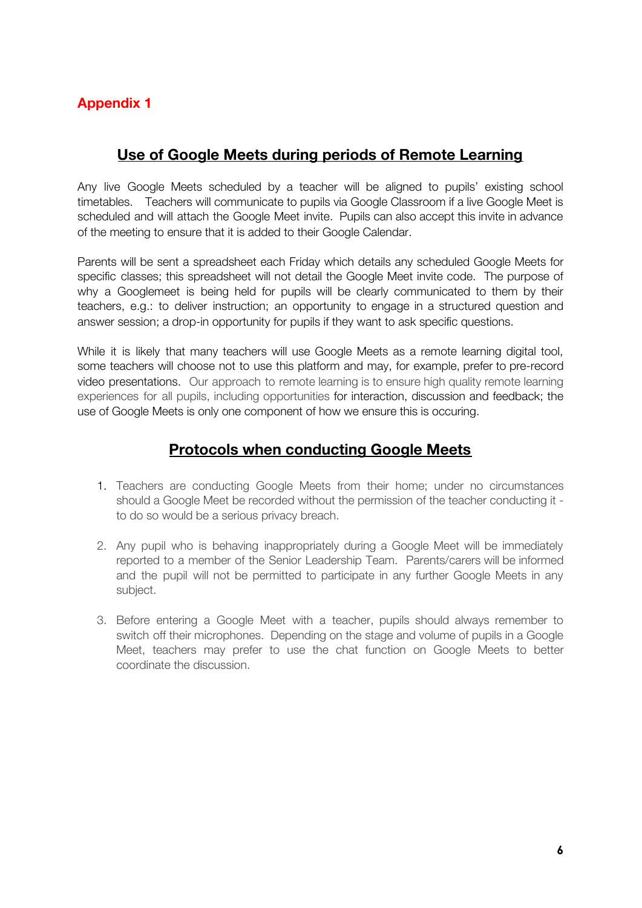## **Appendix 1**

## **Use of Google Meets during periods of Remote Learning**

Any live Google Meets scheduled by a teacher will be aligned to pupils' existing school timetables. Teachers will communicate to pupils via Google Classroom if a live Google Meet is scheduled and will attach the Google Meet invite. Pupils can also accept this invite in advance of the meeting to ensure that it is added to their Google Calendar.

Parents will be sent a spreadsheet each Friday which details any scheduled Google Meets for specific classes; this spreadsheet will not detail the Google Meet invite code. The purpose of why a Googlemeet is being held for pupils will be clearly communicated to them by their teachers, e.g.: to deliver instruction; an opportunity to engage in a structured question and answer session; a drop-in opportunity for pupils if they want to ask specific questions.

While it is likely that many teachers will use Google Meets as a remote learning digital tool, some teachers will choose not to use this platform and may, for example, prefer to pre-record video presentations. Our approach to remote learning is to ensure high quality remote learning experiences for all pupils, including opportunities for interaction, discussion and feedback; the use of Google Meets is only one component of how we ensure this is occuring.

### **Protocols when conducting Google Meets**

- 1. Teachers are conducting Google Meets from their home; under no circumstances should a Google Meet be recorded without the permission of the teacher conducting it to do so would be a serious privacy breach.
- 2. Any pupil who is behaving inappropriately during a Google Meet will be immediately reported to a member of the Senior Leadership Team. Parents/carers will be informed and the pupil will not be permitted to participate in any further Google Meets in any subject.
- 3. Before entering a Google Meet with a teacher, pupils should always remember to switch off their microphones. Depending on the stage and volume of pupils in a Google Meet, teachers may prefer to use the chat function on Google Meets to better coordinate the discussion.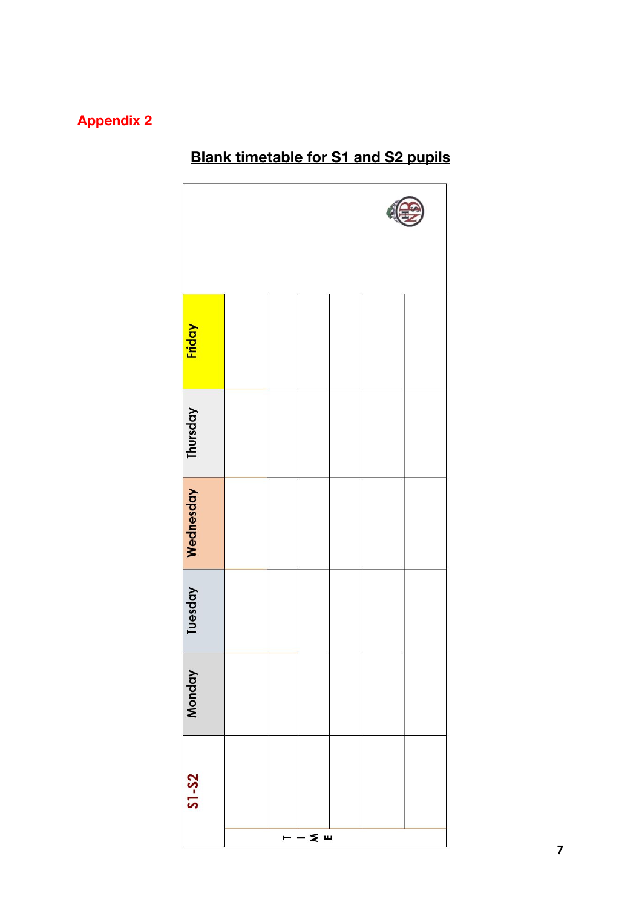# **Appendix 2**

# **Friday** Thursday Wednesday Tuesday Monday  $S1 - S2$  $\leq$   $\omega$

# **Blank timetable for S1 and S2 pupils**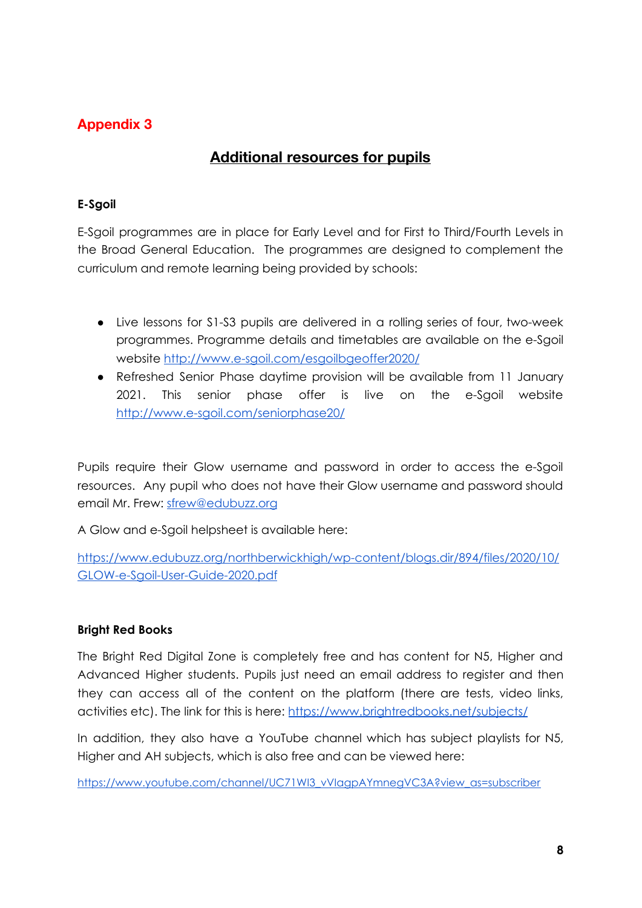### **Appendix 3**

## **Additional resources for pupils**

### **E-Sgoil**

E-Sgoil programmes are in place for Early Level and for First to Third/Fourth Levels in the Broad General Education. The programmes are designed to complement the curriculum and remote learning being provided by schools:

- Live lessons for S1-S3 pupils are delivered in a rolling series of four, two-week programmes. Programme details and timetables are available on the e-Sgoil website <http://www.e-sgoil.com/esgoilbgeoffer2020/>
- Refreshed Senior Phase daytime provision will be available from 11 January 2021. This senior phase offer is live on the e-Sgoil website <http://www.e-sgoil.com/seniorphase20/>

Pupils require their Glow username and password in order to access the e-Sgoil resources. Any pupil who does not have their Glow username and password should email Mr. Frew: [sfrew@edubuzz.org](mailto:sfrew@edubuzz.org)

A Glow and e-Sgoil helpsheet is available here:

[https://www.edubuzz.org/northberwickhigh/wp-content/blogs.dir/894/files/2020/10/](https://www.edubuzz.org/northberwickhigh/wp-content/blogs.dir/894/files/2020/10/GLOW-e-Sgoil-User-Guide-2020.pdf) [GLOW-e-Sgoil-User-Guide-2020.pdf](https://www.edubuzz.org/northberwickhigh/wp-content/blogs.dir/894/files/2020/10/GLOW-e-Sgoil-User-Guide-2020.pdf)

### **Bright Red Books**

The Bright Red Digital Zone is completely free and has content for N5, Higher and Advanced Higher students. Pupils just need an email address to register and then they can access all of the content on the platform (there are tests, video links, activities etc). The link for this is here: <https://www.brightredbooks.net/subjects/>

In addition, they also have a YouTube channel which has subject playlists for N5, Higher and AH subjects, which is also free and can be viewed here:

[https://www.youtube.com/channel/UC71WI3\\_vVIagpAYmnegVC3A?view\\_as=subscriber](https://www.youtube.com/channel/UC71WI3_vVIagpAYmnegVC3A?view_as=subscriber)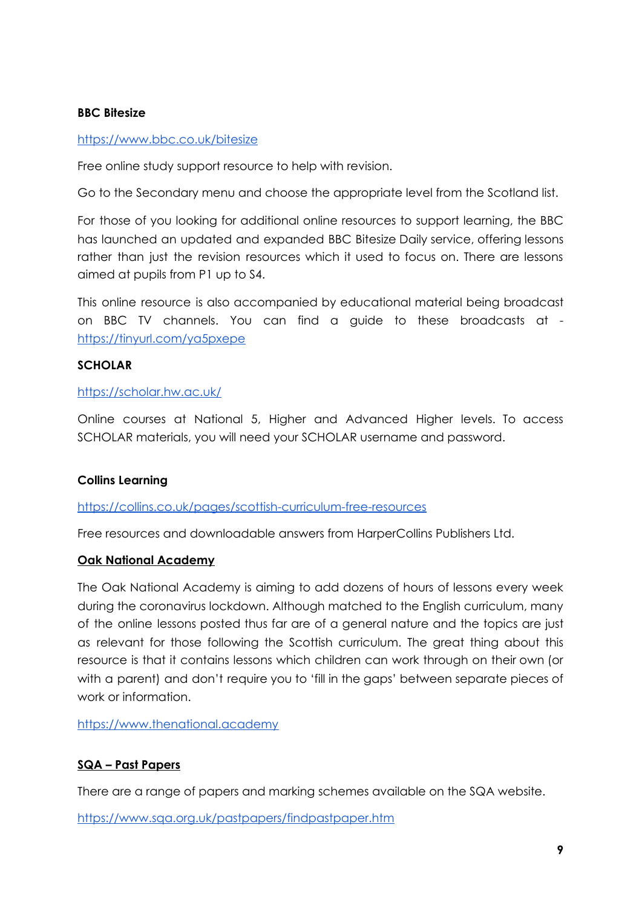### **BBC Bitesize**

### <https://www.bbc.co.uk/bitesize>

Free online study support resource to help with revision.

Go to the Secondary menu and choose the appropriate level from the Scotland list.

For those of you looking for additional online resources to support learning, the BBC has launched an updated and expanded BBC Bitesize Daily service, offering lessons rather than just the revision resources which it used to focus on. There are lessons aimed at pupils from P1 up to S4.

This online resource is also accompanied by educational material being broadcast on BBC TV channels. You can find a guide to these broadcasts at <https://tinyurl.com/ya5pxepe>

### **SCHOLAR**

### <https://scholar.hw.ac.uk/>

Online courses at National 5, Higher and Advanced Higher levels. To access SCHOLAR materials, you will need your SCHOLAR username and password.

### **Collins Learning**

### <https://collins.co.uk/pages/scottish-curriculum-free-resources>

Free resources and downloadable answers from HarperCollins Publishers Ltd.

### **Oak National Academy**

The Oak National Academy is aiming to add dozens of hours of lessons every week during the coronavirus lockdown. Although matched to the English curriculum, many of the online lessons posted thus far are of a general nature and the topics are just as relevant for those following the Scottish curriculum. The great thing about this resource is that it contains lessons which children can work through on their own (or with a parent) and don't require you to 'fill in the gaps' between separate pieces of work or information.

https://www.thenational.academy

### **SQA – Past Papers**

There are a range of papers and marking schemes available on the SQA website.

<https://www.sqa.org.uk/pastpapers/findpastpaper.htm>